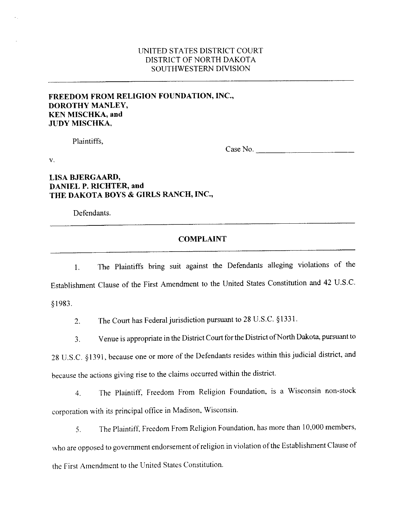## UNITED **STATES DISTRICT** COURT DISTRICT OF NORTH **DAKOTA SOUTHWESTERN DIVISION**

## **FREEDOM FROM RELIGION FOUNDATION, INC., DOROTHY MANLEY, KEN MISCHKA, and JUDY MISCHKA,**

Plaintiffs,

Case No.

**V.** 

## **LISA BJERGAARD, DANIEL P. RICHTER, and THE DAKOTA BOYS** & **GIRLS RANCH, INC.,**

-- -

Defendants.

## **COMPLAINT**

1. The Plaintiffs bring suit against the Defendants alleging violations of the Establishment Clause of the First Amendment to the United States Constitution and 42 U.S.C. \$1983.

2. The Court has Federal jurisdiction pursuant to 28 U.S.C. §1331.

**3.** Venue is appropriate in the District Court for the District ofNorth Dakota, pursuant to

28 U.S.C. *5* 1391, because one or more of the Defendants resides within this judicial district, and because the actions giving rise to the claims occurred within the district.

4. The Plaintiff, Freedom From Religion Foundation, is a Wisconsin non-stock corporation with its principal office in Madison, Wisconsin,

**5.** The Plaintiff, Freedom From Religion Foundation, has more than 10,000 members, who are opposed to government endorsement of religion in violation of the Establishment Clause of the First Amendment to the United States Constitution.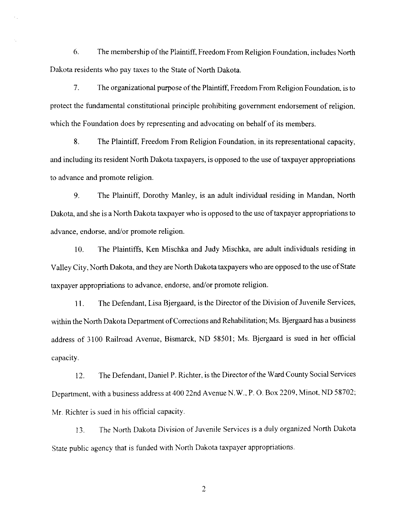*6.* The membership of the Plaintiff, Freedom From Religion Foundation, includes North Dakota residents who pay taxes to the State of North Dakota.

7. The organizational purpose of the Plaintiff, Freedom From Religion Foundation. is to protect the fundamental constitutional principle prohibiting government endorsement of religion, which the Foundation does by representing and advocating on behalf of its members.

**8.** The Plaintiff, Freedom From Religion Foundation, in its representational capacity, and including its resident North Dakota taxpayers, is opposed to the use of taxpayer appropriations to advance and promote religion.

9. The Plaintiff, Dorothy Manley, is an adult individual residing in Mandan, North Dakota, **and** she is a North Dakota taxpayer who is opposed to the use of taxpayer appropriations to advance, endorse, and/or promote religion.

**10.** The Plaintiffs, Ken Mischka and Judy Mischka, are adult individuals residing in Valley City, North Dakota, and they are North Dakota taxpayers who are opposed to the use of State taxpayer appropriations to advance, endorse, and/or promote religion.

11. The Defendant, Lisa Bjergaard, is the Director of the Division of Juvenile Services, within the North Dakota Department of Corrections and Rehabilitation; Ms. Bjergaard has a business address of 3100 Railroad Avenue, Bismarck, ND 58501; Ms. Bjergaard is sued in her official capacity.

12, The Defendant, Daniel P. Richter, is the Director of the Ward County Social Services Department, with a business address **at** 400 22nd Avenue N.W.. P. *0.* Box 2209. Minot, **ND** 58702; Mr. Richter is sued in his official capacity.

13. The North Dakota Division of Juvenile Services is a duly organized North Dakota State public agency that is funded with North Dakota taxpayer appropriations.

 $\overline{2}$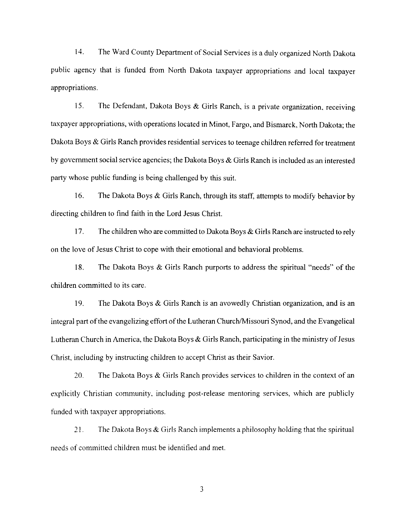14. The Ward County Department of Social Services is a duly organized North Dakota public agency that is funded **from** North Dakota taxpayer appropriations and local taxpayer appropriations.

**15.** The Defendant, Dakota Boys & Girls Ranch, is a private organization, receiving taxpayer appropriations, with operations located in Minot, **Fargo,** and Bismarck, North Dakota; the Dakota Boys & Girls Ranch provides residential services to teenage children referred for treatment by government social service agencies; the Dakota Boys & Girls Ranch is included as an interested party whose public funding is **being** challenged by this suit.

**16,** The Dakota Boys & Girls Ranch, through its staff, attempts to modify behavior by directing children to find faith in the Lord Jesus Christ.

17. The children who are committed to Dakota Boys & Girls Ranch are instructed to rely on the love of Jesus Christ to cope with their emotional and behavioral problems.

**18.** The Dakota Boys & Girls Ranch purports to address the spiritual "needs" of the children committed to its care.

**19,** The Dakota Boys & Girls Ranch is an avowedly Christian organization, and is **an**  integral part of the evangelizing effort of the Lutheran Church/Missouri Synod, and the Evangelical Lutheran Church in America, the Dakota Boys  $\&$  Girls Ranch, participating in the ministry of Jesus Christ, including by instructing children to accept Christ as their Savior.

20. The Dakota Boys & Girls Ranch provides services to children in the context of an explicitly Christian community, including post-release mentoring services, which are publicly funded with taxpayer appropriations.

*2* **1.** The Dakota Boys & Girls Ranch implements a philosophy holding that the spiritual needs of committed children must be identified and met.

 $\overline{3}$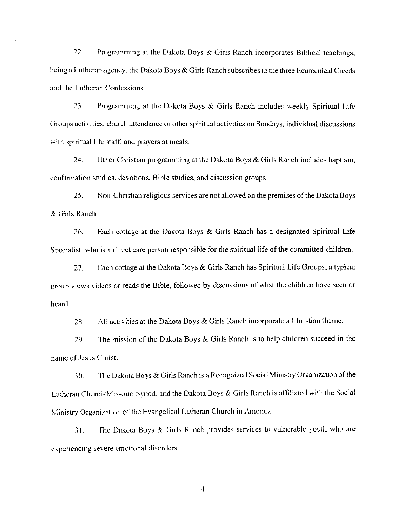*22.* Programming at the Dakota Boys & Girls Ranch incorporates Biblical teachings; being a Lutheran agency, the Dakota Boys & Girls Ranch subscribes to the three Ecumenical Creeds and the Lutheran Confessions.

**23.** Programming at the Dakota Boys & Girls Ranch includes weekly Spiritual Life Groups activities, church attendance or other spiritual activities on Sundays, individual discussions with spiritual life staff, and prayers at meals.

**24.** Other Christian programming at the Dakota Boys & Girls Ranch includes baptism, confirmation studies, devotions, Bible studies, and discussion groups.

**25.** Non-Christian religious services are not allowed on the premises of the Dakota Boys & Girls Ranch.

26. Each cottage at the Dakota Boys & Girls Ranch has a designated Spiritual Life Specialist, who is a direct care person responsible for the spiritual life of the committed children.

27. Each cottage at the Dakota Boys & Girls Ranch has Spiritual Life Groups; a **typical**  group views videos or reads the Bible, followed by discussions of what the children have seen or heard.

**28.** All activities at the Dakota Boys & Girls Ranch incorporate a Christian theme.

**29.** The mission of the Dakota Boys & Girls Ranch is to help children succeed in the name of Jesus Christ.

**30.** The Dakota Boys & Girls Ranch is a Recognized Social Ministry Organization of the Lutheran Church/Missouri Synod, and the Dakota Boys & Girls Ranch is affiliated with the Social Ministry Organization of the Evangelical Lutheran Church in America.

3 **1,** The Dakota Boys & Girls Ranch provides services to vulnerable youth who are experiencing severe emotional disorders.

 $\overline{4}$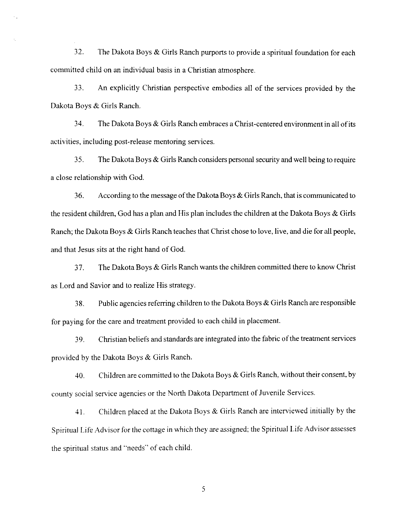32. The Dakota Boys & Girls Ranch purports to provide a spiritual foundation for each committed child on an individual basis in a Christian atmosphere.

33. **An** explicitly Christian perspective embodies all of the services provided by the Dakota Boys & Girls Ranch.

**34.** The Dakota Boys & Girls Ranch embraces a Christ-centered environment in all of its activities, including post-release mentoring services.

**35.** The Dakota Boys & Girls Ranch considers personal security and well being to require a close relationship with God.

*36.* According to the message of the Dakota Boys & Girls Ranch, that is communicated to the resident children, God has a plan and His plan includes the children at the Dakota Boys  $\&$  Girls Ranch; the Dakota Boys & Girls Ranch teaches that Christ chose to love, live, and die for all people, and that Jesus sits **at** the right hand of God,

**37.** The Dakota Boys & Girls Ranch wants the children committed there to know Christ as Lord and Savior and to realize His strategy.

**38.** Public agencies referring children to the Dakota Boys & Girls Ranch are responsible for paying for the care and treatment provided to each child in placement.

39. Christian beliefs and standards are integrated into the fabric of the treatment services provided by the Dakota Boys & Girls Ranch.

**40.** Children *are* committed to the Dakota Boys & Girls Ranch, without their consent, by county social service agencies or the North Dakota Department of Juvenile Services.

**4** 1. Children placed at the Dakota **Boys** & Girls Ranch are interviewed initially by the Spiritual Life Advisor for the cottage in which they are assigned; the Spiritual Life Advisor assesses the spiritual status and "needs" of each child.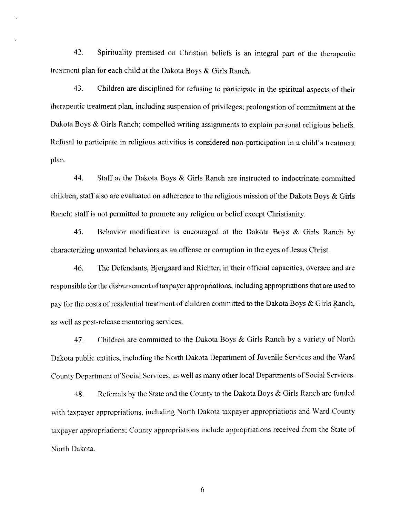42. Spirituality premised on Christian beliefs is an integral part of the therapeutic treatment plan for each child at the Dakota Boys & Girls Ranch.

**43.** Children are disciplined for refusing to participate in the spiritual aspects of their therapeutic treatment **plan,** including suspension of privileges; prolongation of commitment at the Dakota Boys & Girls Ranch; compelled writing assignments to explain personal religious beliefs. Refusal to participate in religious activities is considered non-participation in a child's treatment plan.

44. Staff at the Dakota Boys & Girls Ranch are instructed to indoctrinate committed children; staff also are evaluated on adherence to the religious mission of the Dakota Boys & Girls Ranch; staff is not permitted to promote any religion or belief except Christianity.

**45.** Behavior modification is encouraged at the Dakota Boys & Girls Ranch by characterizing unwanted behaviors as an offense or corruption in the eyes of Jesus Christ.

46. The Defendants, Bjergaard and Richter, in their official capacities, oversee and are responsible for the disbursement of taxpayer appropriations, including appropriations that are used to pay for the costs of residential treatment of children committed to the Dakota Boys & Girls Ranch, as well as post-release mentoring services.

**47.** Children are committed to the Dakota Boys & Girls Ranch by a variety of North Dakota public entities, including the North Dakota Department of Juvenile Services and the Ward County Department of Social Services, as well as many other local Departments of Social Services.

**48.** Referrals by the State and the County to the Dakota Boys & Girls Ranch are funded with taxpayer appropriations, including North Dakota taxpayer appropriations and Ward County taxpayer appropriations; County appropriations include appropriations received from *the* **State of**  North Dakota.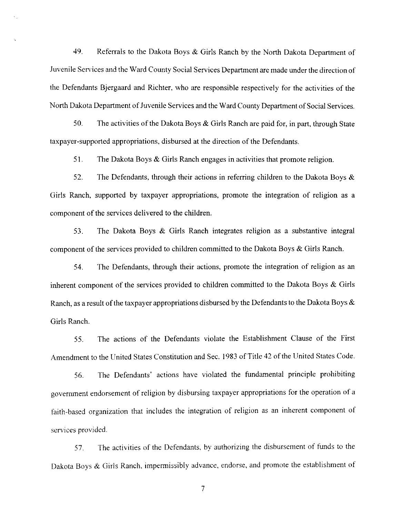49. Referrals to the Dakota Boys  $\&$  Girls Ranch by the North Dakota Department of Juvenile Services and the Ward County Social Services Department are made under the direction of the Defendants Bjergaard and Richter, who are responsible respectively for the activities of the North Dakota Department of Juvenile Services and the Ward County Department of Social Services.

**50.** The activities of the Dakota Boys & Girls Ranch are paid for, in part, through State taxpayer-supported appropriations, disbursed at the direction of the Defendants.

**<sup>5</sup>**1. The Dakota Boys & Girls Ranch engages in activities that promote religion.

**52.** The Defendants, through their actions in referring children to the Dakota Boys & Girts Ranch, supported by taxpayer appropriations, promote the integration of religion as a component of the services delivered to the children.

**53.** The Dakota Boys & Girls Ranch integrates religion as a substantive integral component of the services provided to children committed to the Dakota Boys & Girls Ranch.

**54.** The Defendants, through their actions, promote the integration of religion as **an**  inherent component of the services provided to children committed to the **Dakota** Boys & Girls Ranch, as a result of the taxpayer appropriations disbursed by the Defendants to the Dakota Boys & Girls Ranch.

**55.** The actions of the Defendants violate the Establishment Clause of the First Amendment to the United States Constitution and Sec. 1983 of Title 42 of the United States Code.

**56.** The Defendants' actions have violated the fundamental principle prohibiting government endorsement of religion by disbursing taxpayer appropriations for the operation of a faith-based organization that includes the integration of religion as an inherent component of services provided.

*57.* The activities of the Defendants, by authorizing the disbursement of funds to the Dakota Boys & Girls Ranch, impermissibly advance, endorse, and promote the establishment of

 $\overline{7}$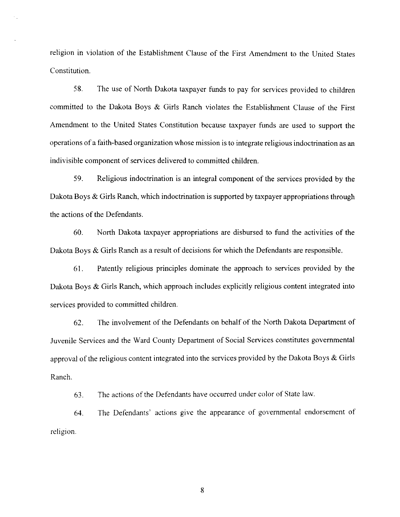religion in violation of the Establishment Clause of the First Amendment to the United States Constitution.

**58.** The use of North Dakota taxpayer funds to pay for services provided to children committed to the **Dakota** Boys & Girls Ranch violates the Establishment Clause of the First Amendment to the United States Constitution because taxpayer funds are used to support the operations of a faith-based organization whose mission is to integrate religious indoctrination as **an**  indivisible component of services delivered to committed children.

**59.** Religious indoctrination is an integral component of the services provided by the Dakota Boys & Girls Ranch, which indoctrination is supported by taxpayer appropriations through the actions of the Defendants.

**60.** North Dakota taxpayer appropriations are disbursed to fund the activities of the Dakota Boys & Girls Ranch as a result of decisions for which the Defendants are responsible.

**61.** Patently religious principles dominate the approach to services provided by the Dakota Boys & Girls Ranch, which approach includes explicitly religious content integrated into services provided to committed children.

**62.** The involvement of the Defendants on behalf of the North Dakota Department of Juvenile Services and the Ward County Department of Social Services constitutes governmental approval of the religious content integrated into the services provided by the Dakota Boys & Girls Ranch.

63. The actions of the Defendants have occurred under color of State law.

**64.** The Defendants' actions give the appearance of governmental endorsement of religion.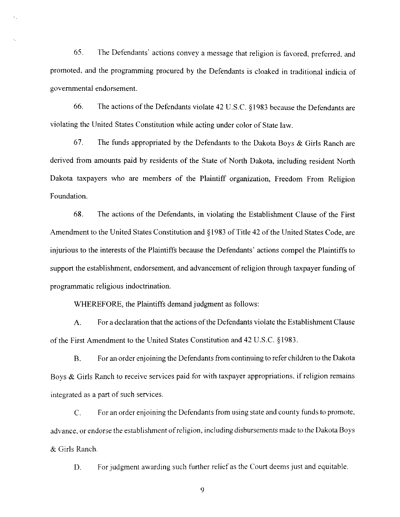**65.** The Defendants' actions convey a message that religion is favored. preferred. and promoted, and the programming procured by the Defendants is cloaked in traditional indicia of governmental endorsement.

**66.** The actions of the Defendants violate 42 **U.S.C. 8** 1983 because the Defendants are violating the United States Constitution while acting under color of State law.

**67.** The funds appropriated by the Defendants to the Dakota Boys & Girls Ranch are derived from amounts paid by residents of the **State** of North Dakota, including resident North Dakota taxpayers who are members of the Plaintiff organization, Freedom From Religion Foundation.

**68.** The actions of the Defendants, in violating the Establishment Clause of the First Amendment to the United States Constitution and *5* 1983 of Title 42 of the United States Code, are injurious to the interests of the Plaintiffs because the Defendants' actions compel the Plaintiffs to support the establishment, endorsement, and advancement of religion through taxpayer funding of programmatic religious indoctrination.

WHEREFORE, the Plaintiffs demand judgment **as** follows:

A. For a declaration that the actions of the Defendants violate the Establishment Clause of the First Amendment to the United States Constitution and 42 U.S.C. \$1983.

B. For an order enjoining the Defendants from continuing to refer children to the Dakota Boys & Girls Ranch to receive services paid for with taxpayer appropriations, if religion remains integrated as a part of such services.

C. For an order enjoining the Defendants from using state and county funds to promote, advance, or endorse the establishment of religion, **including** disbursements made to the **Dakota** Boys & Girls Ranch.

D. For judgment awarding such further relief as the Court deems **just** and equitable.

 $\overline{Q}$